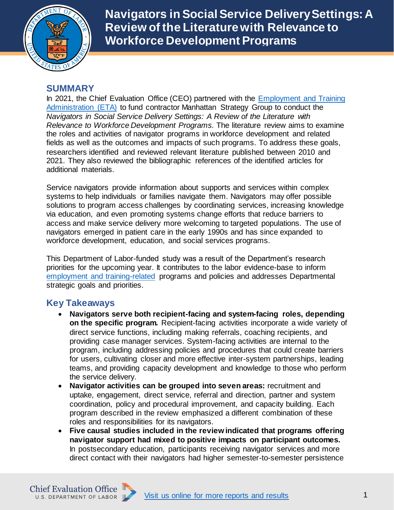

**Navigators in Social Service Delivery Settings: A Review of the Literature with Relevance to Workforce Development Programs**

## **SUMMARY**

In 2021, the Chief Evaluation Office (CEO) partnered with the [Employment and Training](https://www.dol.gov/agencies/eta)  [Administration \(ETA\)](https://www.dol.gov/agencies/eta) to fund contractor Manhattan Strategy Group to conduct the *Navigators in Social Service Delivery Settings: A Review of the Literature with Relevance to Workforce Development Programs.* The literature review aims to examine the roles and activities of navigator programs in workforce development and related fields as well as the outcomes and impacts of such programs. To address these goals, researchers identified and reviewed relevant literature published between 2010 and 2021. They also reviewed the bibliographic references of the identified articles for additional materials.

Service navigators provide information about supports and services within complex systems to help individuals or families navigate them. Navigators may offer possible solutions to program access challenges by coordinating services, increasing knowledge via education, and even promoting systems change efforts that reduce barriers to access and make service delivery more welcoming to targeted populations. The use of navigators emerged in patient care in the early 1990s and has since expanded to workforce development, education, and social services programs.

This Department of Labor-funded study was a result of the Department's research priorities for the upcoming year. It contributes to the labor evidence-base to inform [employment and training-related](https://www.dol.gov/agencies/oasp/evaluation/topic-areas/employment-training) programs and policies and addresses Departmental strategic goals and priorities.

## **Key Takeaways**

- **Navigators serve both recipient-facing and system-facing roles, depending on the specific program.** Recipient-facing activities incorporate a wide variety of direct service functions, including making referrals, coaching recipients, and providing case manager services. System-facing activities are internal to the program, including addressing policies and procedures that could create barriers for users, cultivating closer and more effective inter-system partnerships, leading teams, and providing capacity development and knowledge to those who perform the service delivery.
- **Navigator activities can be grouped into seven areas:** recruitment and uptake, engagement, direct service, referral and direction, partner and system coordination, policy and procedural improvement, and capacity building. Each program described in the review emphasized a different combination of these roles and responsibilities for its navigators.
- **Five causal studies included in the review indicated that programs offering navigator support had mixed to positive impacts on participant outcomes.** In postsecondary education, participants receiving navigator services and more direct contact with their navigators had higher semester-to-semester persistence